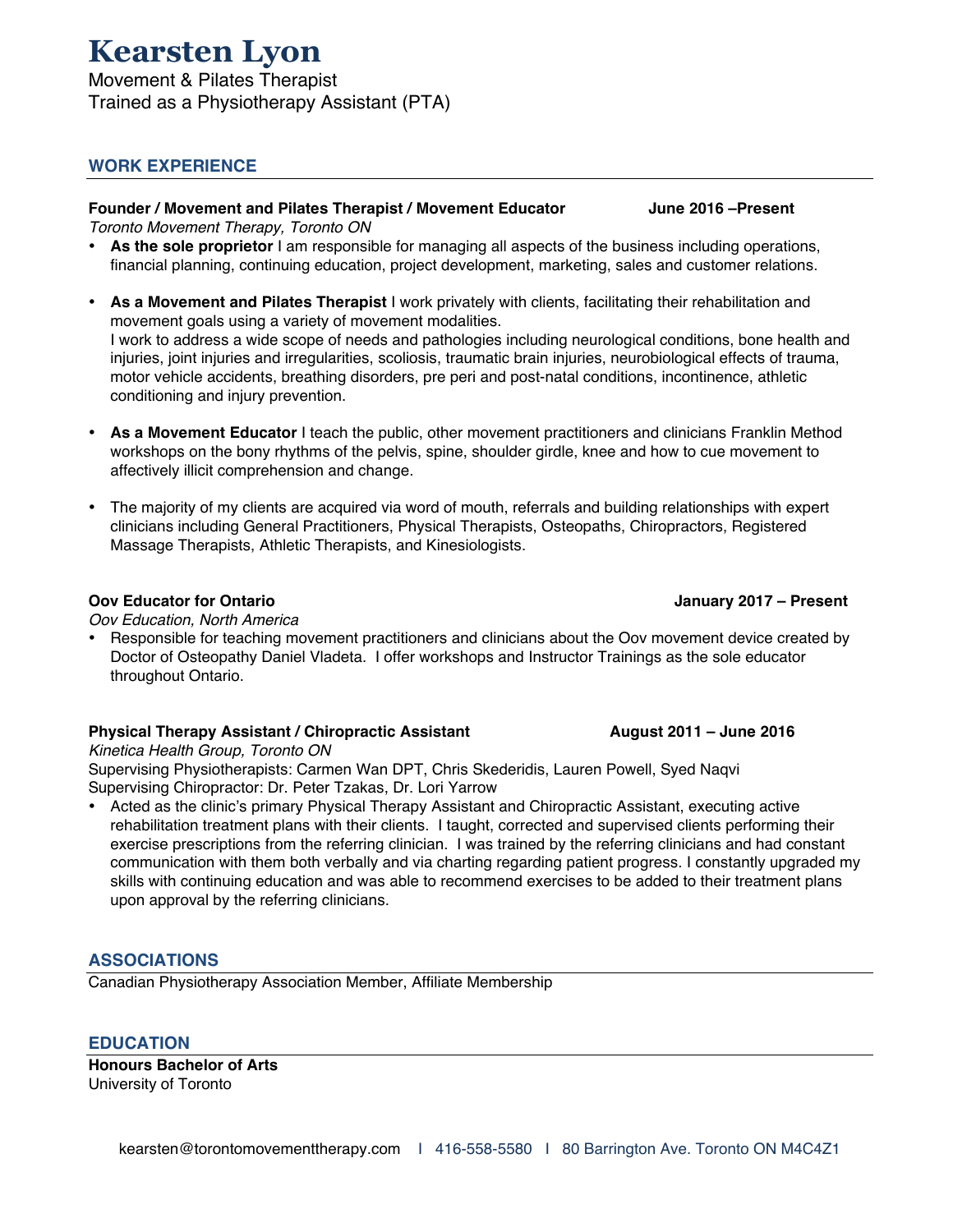Movement & Pilates Therapist Trained as a Physiotherapy Assistant (PTA)

# **WORK EXPERIENCE**

#### **Founder / Movement and Pilates Therapist / Movement Educator June 2016 –Present**

*Toronto Movement Therapy, Toronto ON*

- **As the sole proprietor** I am responsible for managing all aspects of the business including operations, financial planning, continuing education, project development, marketing, sales and customer relations.
- **As a Movement and Pilates Therapist** I work privately with clients, facilitating their rehabilitation and movement goals using a variety of movement modalities. I work to address a wide scope of needs and pathologies including neurological conditions, bone health and injuries, joint injuries and irregularities, scoliosis, traumatic brain injuries, neurobiological effects of trauma, motor vehicle accidents, breathing disorders, pre peri and post-natal conditions, incontinence, athletic conditioning and injury prevention.
- **As a Movement Educator** I teach the public, other movement practitioners and clinicians Franklin Method workshops on the bony rhythms of the pelvis, spine, shoulder girdle, knee and how to cue movement to affectively illicit comprehension and change.
- The majority of my clients are acquired via word of mouth, referrals and building relationships with expert clinicians including General Practitioners, Physical Therapists, Osteopaths, Chiropractors, Registered Massage Therapists, Athletic Therapists, and Kinesiologists.

#### **Oov Educator for Ontario January 2017 – Present**

*Oov Education, North America*

• Responsible for teaching movement practitioners and clinicians about the Oov movement device created by Doctor of Osteopathy Daniel Vladeta. I offer workshops and Instructor Trainings as the sole educator throughout Ontario.

#### **Physical Therapy Assistant / Chiropractic Assistant August 2011 – June 2016**

*Kinetica Health Group, Toronto ON*

Supervising Physiotherapists: Carmen Wan DPT, Chris Skederidis, Lauren Powell, Syed Naqvi Supervising Chiropractor: Dr. Peter Tzakas, Dr. Lori Yarrow

• Acted as the clinic's primary Physical Therapy Assistant and Chiropractic Assistant, executing active rehabilitation treatment plans with their clients. I taught, corrected and supervised clients performing their exercise prescriptions from the referring clinician. I was trained by the referring clinicians and had constant communication with them both verbally and via charting regarding patient progress. I constantly upgraded my skills with continuing education and was able to recommend exercises to be added to their treatment plans upon approval by the referring clinicians.

### **ASSOCIATIONS**

Canadian Physiotherapy Association Member, Affiliate Membership

#### **EDUCATION**

**Honours Bachelor of Arts** University of Toronto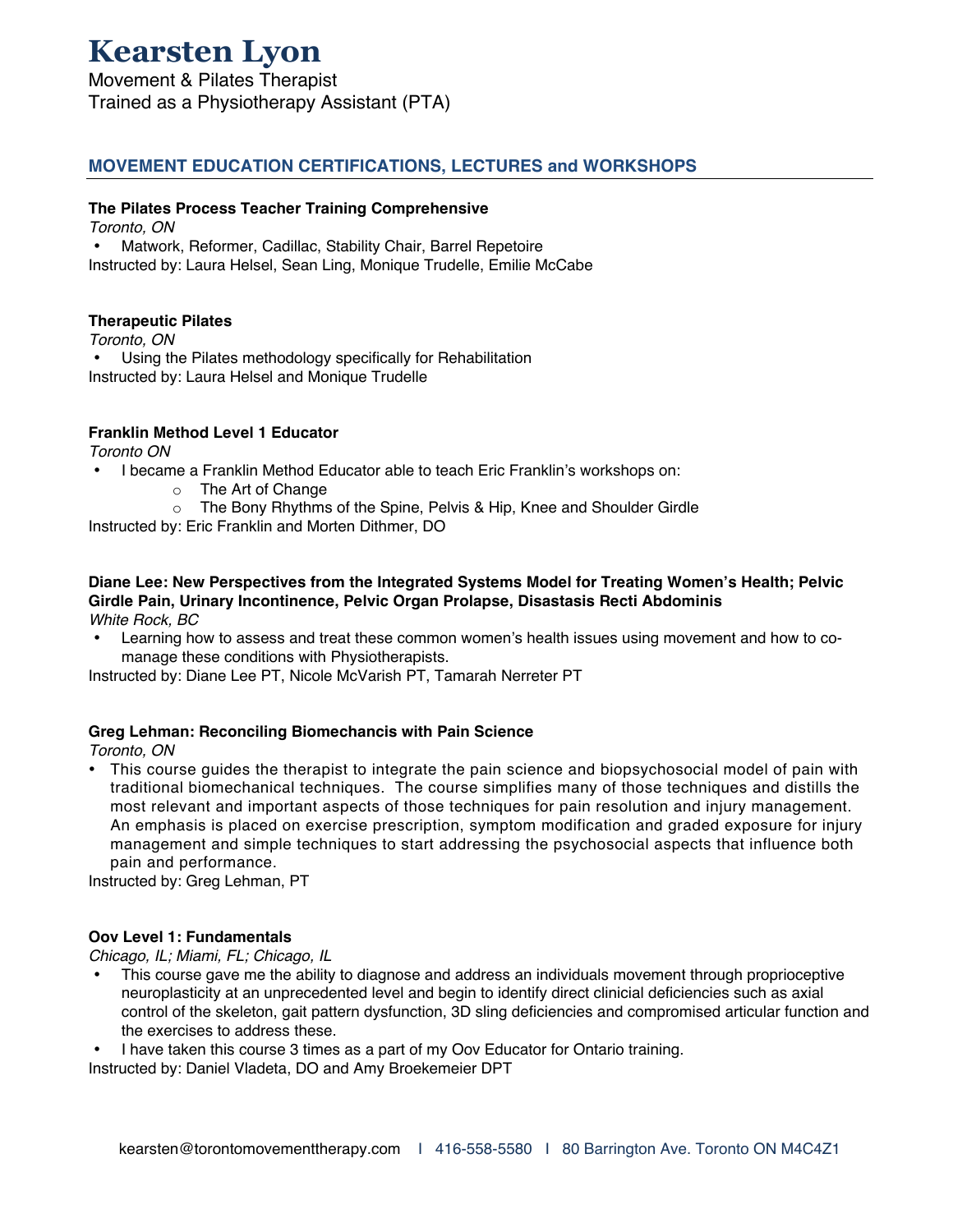Movement & Pilates Therapist Trained as a Physiotherapy Assistant (PTA)

# **MOVEMENT EDUCATION CERTIFICATIONS, LECTURES and WORKSHOPS**

#### **The Pilates Process Teacher Training Comprehensive**

*Toronto, ON*

• Matwork, Reformer, Cadillac, Stability Chair, Barrel Repetoire Instructed by: Laura Helsel, Sean Ling, Monique Trudelle, Emilie McCabe

#### **Therapeutic Pilates**

*Toronto, ON* • Using the Pilates methodology specifically for Rehabilitation Instructed by: Laura Helsel and Monique Trudelle

#### **Franklin Method Level 1 Educator**

*Toronto ON*

- I became a Franklin Method Educator able to teach Eric Franklin's workshops on:
	- o The Art of Change
	- o The Bony Rhythms of the Spine, Pelvis & Hip, Knee and Shoulder Girdle

Instructed by: Eric Franklin and Morten Dithmer, DO

#### **Diane Lee: New Perspectives from the Integrated Systems Model for Treating Women's Health; Pelvic Girdle Pain, Urinary Incontinence, Pelvic Organ Prolapse, Disastasis Recti Abdominis** *White Rock, BC*

• Learning how to assess and treat these common women's health issues using movement and how to comanage these conditions with Physiotherapists.

Instructed by: Diane Lee PT, Nicole McVarish PT, Tamarah Nerreter PT

#### **Greg Lehman: Reconciling Biomechancis with Pain Science**

*Toronto, ON*

• This course guides the therapist to integrate the pain science and biopsychosocial model of pain with traditional biomechanical techniques. The course simplifies many of those techniques and distills the most relevant and important aspects of those techniques for pain resolution and injury management. An emphasis is placed on exercise prescription, symptom modification and graded exposure for injury management and simple techniques to start addressing the psychosocial aspects that influence both pain and performance.

Instructed by: Greg Lehman, PT

#### **Oov Level 1: Fundamentals**

*Chicago, IL; Miami, FL; Chicago, IL*

• This course gave me the ability to diagnose and address an individuals movement through proprioceptive neuroplasticity at an unprecedented level and begin to identify direct clinicial deficiencies such as axial control of the skeleton, gait pattern dysfunction, 3D sling deficiencies and compromised articular function and the exercises to address these.

• I have taken this course 3 times as a part of my Oov Educator for Ontario training.

Instructed by: Daniel Vladeta, DO and Amy Broekemeier DPT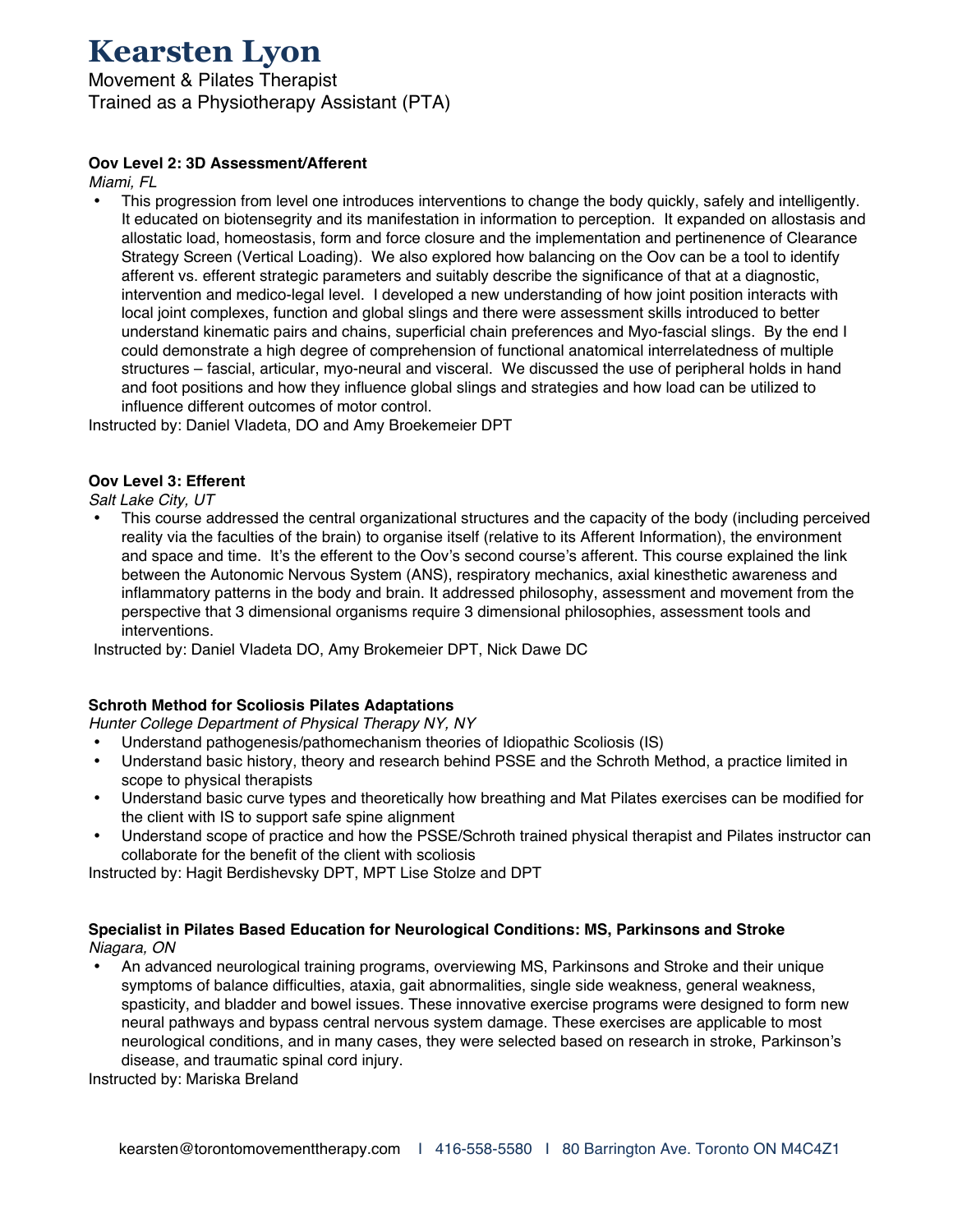Movement & Pilates Therapist Trained as a Physiotherapy Assistant (PTA)

### **Oov Level 2: 3D Assessment/Afferent**

*Miami, FL*

• This progression from level one introduces interventions to change the body quickly, safely and intelligently. It educated on biotensegrity and its manifestation in information to perception. It expanded on allostasis and allostatic load, homeostasis, form and force closure and the implementation and pertinenence of Clearance Strategy Screen (Vertical Loading). We also explored how balancing on the Oov can be a tool to identify afferent vs. efferent strategic parameters and suitably describe the significance of that at a diagnostic, intervention and medico-legal level. I developed a new understanding of how joint position interacts with local joint complexes, function and global slings and there were assessment skills introduced to better understand kinematic pairs and chains, superficial chain preferences and Myo-fascial slings. By the end I could demonstrate a high degree of comprehension of functional anatomical interrelatedness of multiple structures – fascial, articular, myo-neural and visceral. We discussed the use of peripheral holds in hand and foot positions and how they influence global slings and strategies and how load can be utilized to influence different outcomes of motor control.

Instructed by: Daniel Vladeta, DO and Amy Broekemeier DPT

#### **Oov Level 3: Efferent**

*Salt Lake City, UT*

• This course addressed the central organizational structures and the capacity of the body (including perceived reality via the faculties of the brain) to organise itself (relative to its Afferent Information), the environment and space and time. It's the efferent to the Oov's second course's afferent. This course explained the link between the Autonomic Nervous System (ANS), respiratory mechanics, axial kinesthetic awareness and inflammatory patterns in the body and brain. It addressed philosophy, assessment and movement from the perspective that 3 dimensional organisms require 3 dimensional philosophies, assessment tools and interventions.

Instructed by: Daniel Vladeta DO, Amy Brokemeier DPT, Nick Dawe DC

#### **Schroth Method for Scoliosis Pilates Adaptations**

*Hunter College Department of Physical Therapy NY, NY* 

- Understand pathogenesis/pathomechanism theories of Idiopathic Scoliosis (IS)<br>• Understand basic bistory, theory and research behind PSSE and the Schroth M
- Understand basic history, theory and research behind PSSE and the Schroth Method, a practice limited in scope to physical therapists
- Understand basic curve types and theoretically how breathing and Mat Pilates exercises can be modified for the client with IS to support safe spine alignment
- Understand scope of practice and how the PSSE/Schroth trained physical therapist and Pilates instructor can collaborate for the benefit of the client with scoliosis

Instructed by: Hagit Berdishevsky DPT, MPT Lise Stolze and DPT

#### **Specialist in Pilates Based Education for Neurological Conditions: MS, Parkinsons and Stroke** *Niagara, ON*

• An advanced neurological training programs, overviewing MS, Parkinsons and Stroke and their unique symptoms of balance difficulties, ataxia, gait abnormalities, single side weakness, general weakness, spasticity, and bladder and bowel issues. These innovative exercise programs were designed to form new neural pathways and bypass central nervous system damage. These exercises are applicable to most neurological conditions, and in many cases, they were selected based on research in stroke, Parkinson's disease, and traumatic spinal cord injury.

Instructed by: Mariska Breland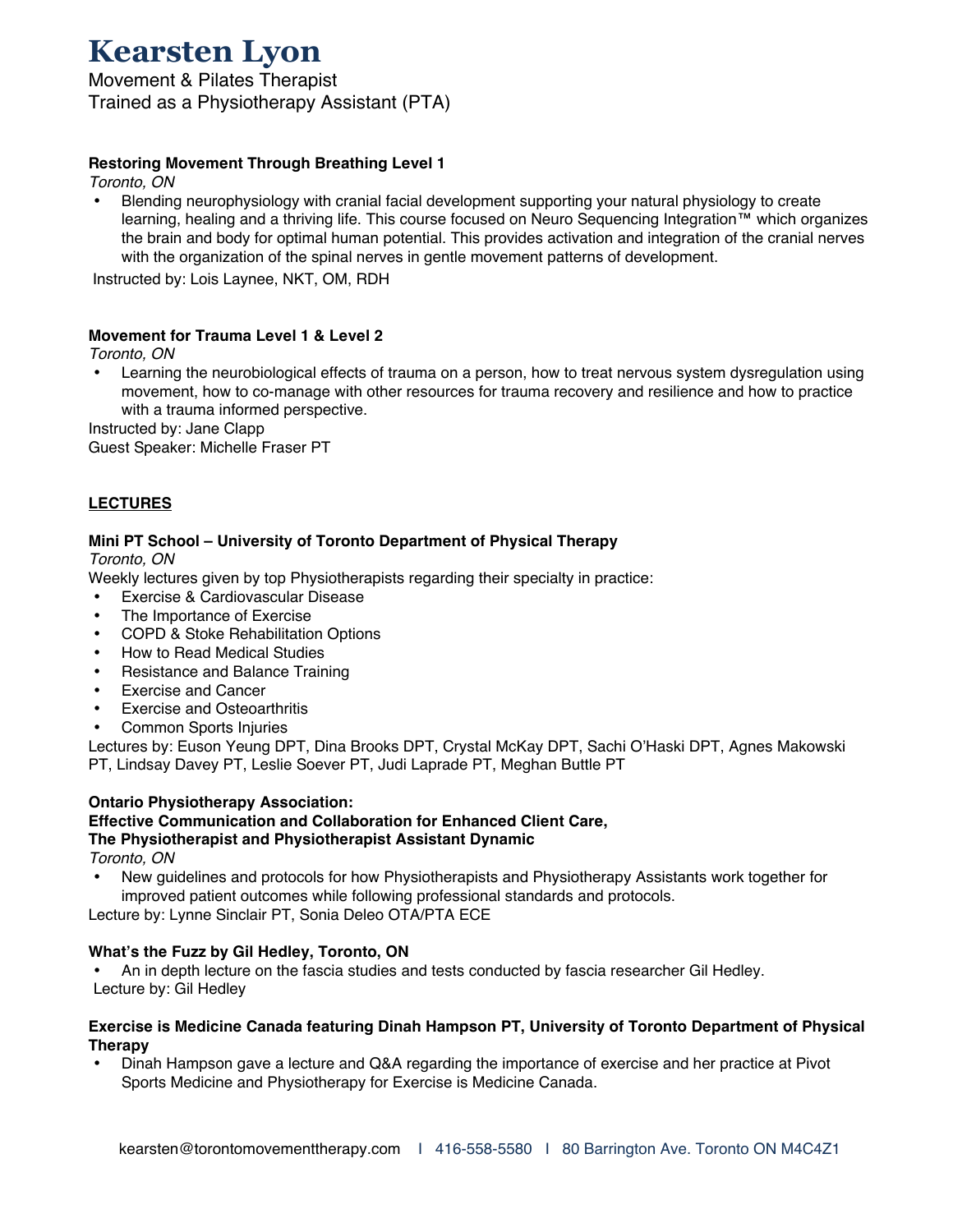Movement & Pilates Therapist Trained as a Physiotherapy Assistant (PTA)

## **Restoring Movement Through Breathing Level 1**

*Toronto, ON*

• Blending neurophysiology with cranial facial development supporting your natural physiology to create learning, healing and a thriving life. This course focused on Neuro Sequencing Integration™ which organizes the brain and body for optimal human potential. This provides activation and integration of the cranial nerves with the organization of the spinal nerves in gentle movement patterns of development.

Instructed by: Lois Laynee, NKT, OM, RDH

#### **Movement for Trauma Level 1 & Level 2**

*Toronto, ON*

• Learning the neurobiological effects of trauma on a person, how to treat nervous system dysregulation using movement, how to co-manage with other resources for trauma recovery and resilience and how to practice with a trauma informed perspective.

Instructed by: Jane Clapp

Guest Speaker: Michelle Fraser PT

## **LECTURES**

#### **Mini PT School – University of Toronto Department of Physical Therapy**

*Toronto, ON*

Weekly lectures given by top Physiotherapists regarding their specialty in practice:

- Exercise & Cardiovascular Disease
- The Importance of Exercise<br>• COPD & Stoke Behabilitation
- COPD & Stoke Rehabilitation Options
- How to Read Medical Studies
- Resistance and Balance Training
- Exercise and Cancer<br>• Exercise and Osteoar
- Exercise and Osteoarthritis<br>• Common Sports Injuries
- Common Sports Injuries

Lectures by: Euson Yeung DPT, Dina Brooks DPT, Crystal McKay DPT, Sachi O'Haski DPT, Agnes Makowski PT, Lindsay Davey PT, Leslie Soever PT, Judi Laprade PT, Meghan Buttle PT

#### **Ontario Physiotherapy Association:**

## **Effective Communication and Collaboration for Enhanced Client Care,**

# **The Physiotherapist and Physiotherapist Assistant Dynamic**

*Toronto, ON*

• New guidelines and protocols for how Physiotherapists and Physiotherapy Assistants work together for improved patient outcomes while following professional standards and protocols.

Lecture by: Lynne Sinclair PT, Sonia Deleo OTA/PTA ECE

#### **What's the Fuzz by Gil Hedley, Toronto, ON**

• An in depth lecture on the fascia studies and tests conducted by fascia researcher Gil Hedley. Lecture by: Gil Hedley

#### **Exercise is Medicine Canada featuring Dinah Hampson PT, University of Toronto Department of Physical Therapy**

• Dinah Hampson gave a lecture and Q&A regarding the importance of exercise and her practice at Pivot Sports Medicine and Physiotherapy for Exercise is Medicine Canada.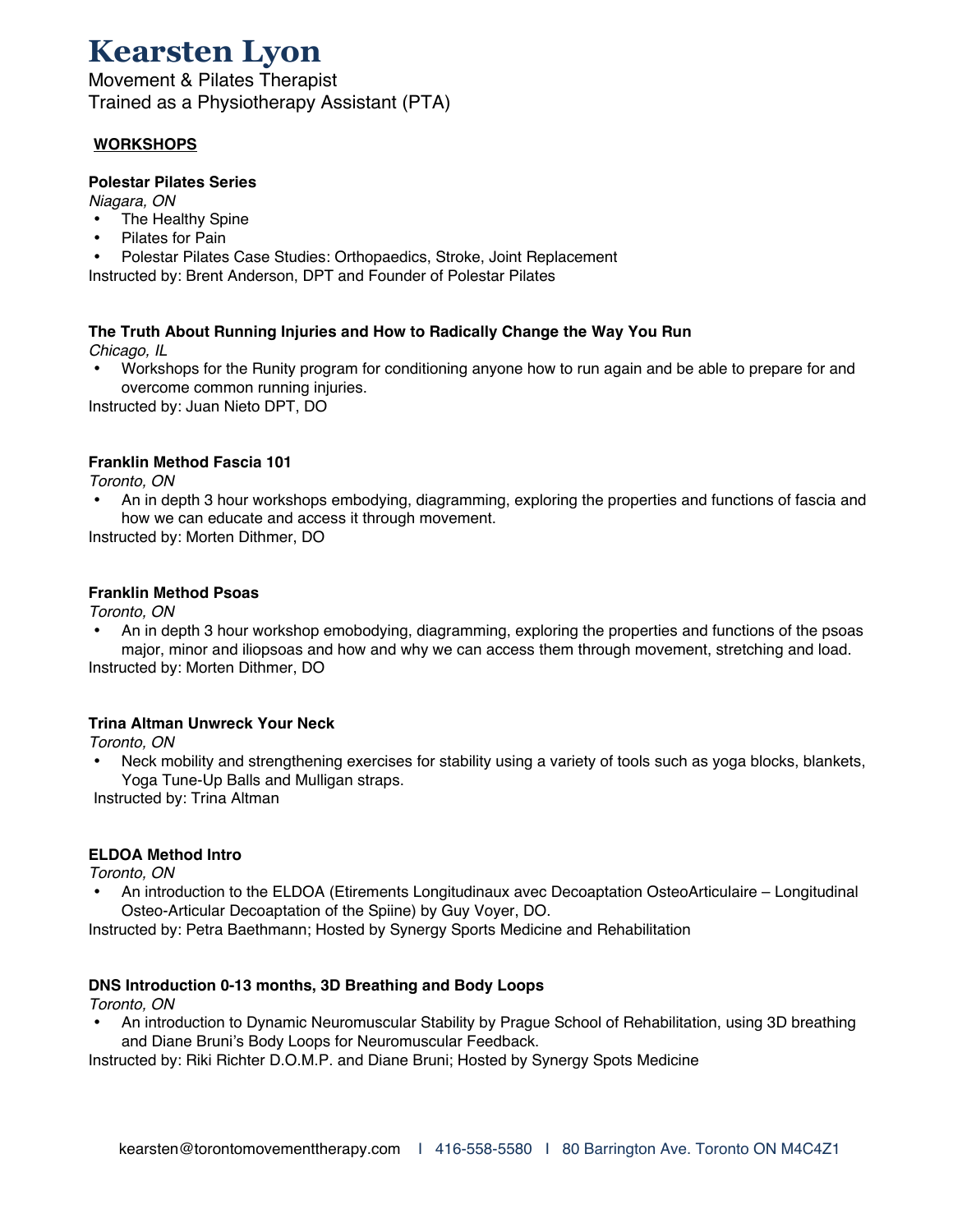Movement & Pilates Therapist Trained as a Physiotherapy Assistant (PTA)

# **WORKSHOPS**

### **Polestar Pilates Series**

*Niagara, ON*

- The Healthy Spine
- Pilates for Pain
- Polestar Pilates Case Studies: Orthopaedics, Stroke, Joint Replacement

Instructed by: Brent Anderson, DPT and Founder of Polestar Pilates

#### **The Truth About Running Injuries and How to Radically Change the Way You Run**  *Chicago, IL*

• Workshops for the Runity program for conditioning anyone how to run again and be able to prepare for and overcome common running injuries.

Instructed by: Juan Nieto DPT, DO

## **Franklin Method Fascia 101**

*Toronto, ON*

• An in depth 3 hour workshops embodying, diagramming, exploring the properties and functions of fascia and how we can educate and access it through movement.

Instructed by: Morten Dithmer, DO

## **Franklin Method Psoas**

*Toronto, ON*

• An in depth 3 hour workshop emobodying, diagramming, exploring the properties and functions of the psoas major, minor and iliopsoas and how and why we can access them through movement, stretching and load.

Instructed by: Morten Dithmer, DO

# **Trina Altman Unwreck Your Neck**

*Toronto, ON*

• Neck mobility and strengthening exercises for stability using a variety of tools such as yoga blocks, blankets, Yoga Tune-Up Balls and Mulligan straps.

Instructed by: Trina Altman

# **ELDOA Method Intro**

*Toronto, ON*

• An introduction to the ELDOA (Etirements Longitudinaux avec Decoaptation OsteoArticulaire – Longitudinal Osteo-Articular Decoaptation of the Spiine) by Guy Voyer, DO.

Instructed by: Petra Baethmann; Hosted by Synergy Sports Medicine and Rehabilitation

# **DNS Introduction 0-13 months, 3D Breathing and Body Loops**

*Toronto, ON*

• An introduction to Dynamic Neuromuscular Stability by Prague School of Rehabilitation, using 3D breathing and Diane Bruni's Body Loops for Neuromuscular Feedback.

Instructed by: Riki Richter D.O.M.P. and Diane Bruni; Hosted by Synergy Spots Medicine